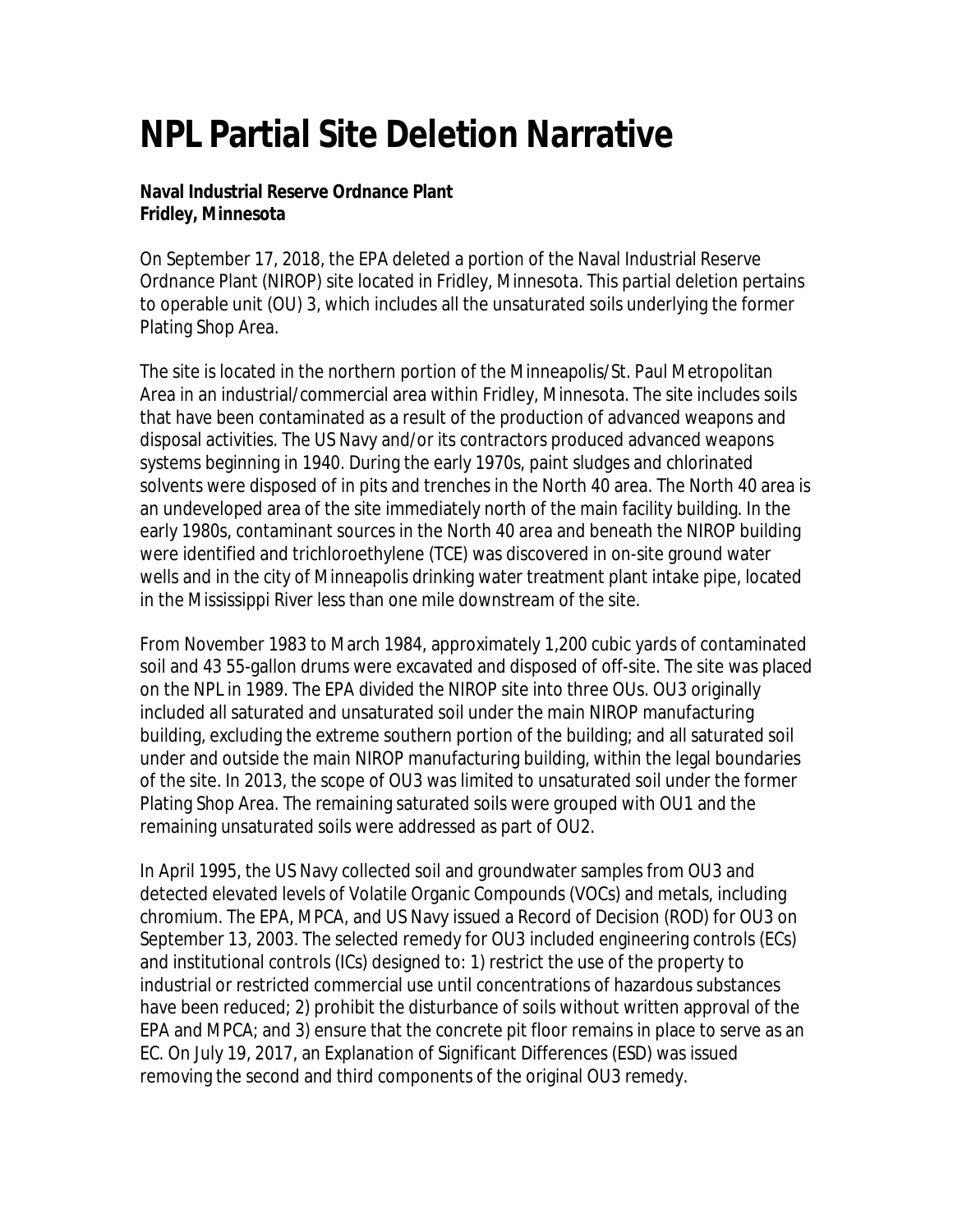## **NPL Partial Site Deletion Narrative**

**Naval Industrial Reserve Ordnance Plant Fridley, Minnesota** 

 On September 17, 2018, the EPA deleted a portion of the Naval Industrial Reserve Plating Shop Area. Ordnance Plant (NIROP) site located in Fridley, Minnesota. This partial deletion pertains to operable unit (OU) 3, which includes all the unsaturated soils underlying the former

 solvents were disposed of in pits and trenches in the North 40 area. The North 40 area is an undeveloped area of the site immediately north of the main facility building. In the wells and in the city of Minneapolis drinking water treatment plant intake pipe, located in the Mississippi River less than one mile downstream of the site. The site is located in the northern portion of the Minneapolis/St. Paul Metropolitan Area in an industrial/commercial area within Fridley, Minnesota. The site includes soils that have been contaminated as a result of the production of advanced weapons and disposal activities. The US Navy and/or its contractors produced advanced weapons systems beginning in 1940. During the early 1970s, paint sludges and chlorinated early 1980s, contaminant sources in the North 40 area and beneath the NIROP building were identified and trichloroethylene (TCE) was discovered in on-site ground water

 From November 1983 to March 1984, approximately 1,200 cubic yards of contaminated of the site. In 2013, the scope of OU3 was limited to unsaturated soil under the former Plating Shop Area. The remaining saturated soils were grouped with OU1 and the soil and 43 55-gallon drums were excavated and disposed of off-site. The site was placed on the NPL in 1989. The EPA divided the NIROP site into three OUs. OU3 originally included all saturated and unsaturated soil under the main NIROP manufacturing building, excluding the extreme southern portion of the building; and all saturated soil under and outside the main NIROP manufacturing building, within the legal boundaries remaining unsaturated soils were addressed as part of OU2.

 chromium. The EPA, MPCA, and US Navy issued a Record of Decision (ROD) for OU3 on and institutional controls (ICs) designed to: 1) restrict the use of the property to industrial or restricted commercial use until concentrations of hazardous substances have been reduced; 2) prohibit the disturbance of soils without written approval of the EPA and MPCA; and 3) ensure that the concrete pit floor remains in place to serve as an EC. On July 19, 2017, an Explanation of Significant Differences (ESD) was issued In April 1995, the US Navy collected soil and groundwater samples from OU3 and detected elevated levels of Volatile Organic Compounds (VOCs) and metals, including September 13, 2003. The selected remedy for OU3 included engineering controls (ECs) removing the second and third components of the original OU3 remedy.